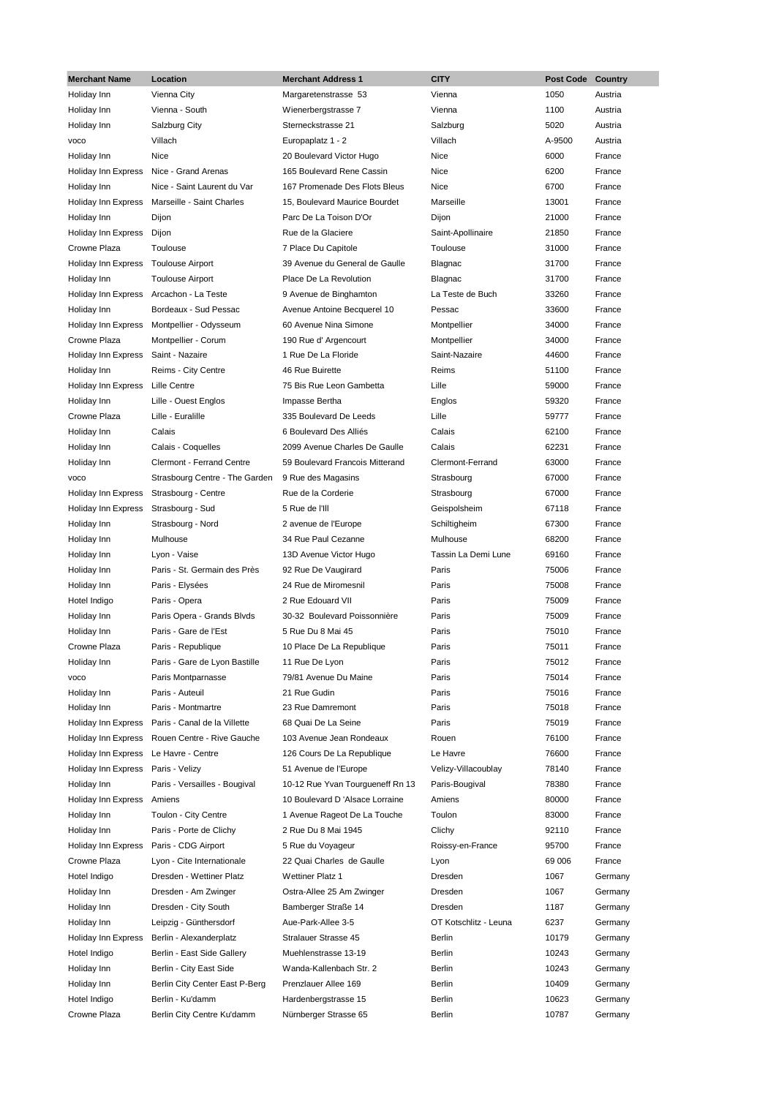| <b>Merchant Name</b>       | Location                       | <b>Merchant Address 1</b>        | <b>CITY</b>           | <b>Post Code</b> | Country |
|----------------------------|--------------------------------|----------------------------------|-----------------------|------------------|---------|
| Holiday Inn                | Vienna City                    | Margaretenstrasse 53             | Vienna                | 1050             | Austria |
| Holiday Inn                | Vienna - South                 | Wienerbergstrasse 7              | Vienna                | 1100             | Austria |
| Holiday Inn                | Salzburg City                  | Sterneckstrasse 21               | Salzburg              | 5020             | Austria |
| <b>VOCO</b>                | Villach                        | Europaplatz 1 - 2                | Villach               | A-9500           | Austria |
| Holiday Inn                | <b>Nice</b>                    | 20 Boulevard Victor Hugo         | Nice                  | 6000             | France  |
| Holiday Inn Express        | Nice - Grand Arenas            | 165 Boulevard Rene Cassin        | Nice                  | 6200             | France  |
| Holiday Inn                | Nice - Saint Laurent du Var    | 167 Promenade Des Flots Bleus    | Nice                  | 6700             | France  |
| Holiday Inn Express        | Marseille - Saint Charles      | 15, Boulevard Maurice Bourdet    | Marseille             | 13001            | France  |
| Holiday Inn                | Dijon                          | Parc De La Toison D'Or           | Dijon                 | 21000            | France  |
| Holiday Inn Express        | Dijon                          | Rue de la Glaciere               | Saint-Apollinaire     | 21850            | France  |
| Crowne Plaza               | Toulouse                       | 7 Place Du Capitole              | Toulouse              | 31000            | France  |
| Holiday Inn Express        | <b>Toulouse Airport</b>        | 39 Avenue du General de Gaulle   | Blagnac               | 31700            | France  |
| Holiday Inn                | <b>Toulouse Airport</b>        | Place De La Revolution           | Blagnac               | 31700            | France  |
| Holiday Inn Express        | Arcachon - La Teste            | 9 Avenue de Binghamton           | La Teste de Buch      | 33260            | France  |
| Holiday Inn                | Bordeaux - Sud Pessac          | Avenue Antoine Becquerel 10      | Pessac                | 33600            | France  |
| <b>Holiday Inn Express</b> | Montpellier - Odysseum         | 60 Avenue Nina Simone            | Montpellier           | 34000            | France  |
| Crowne Plaza               | Montpellier - Corum            | 190 Rue d' Argencourt            | Montpellier           | 34000            | France  |
| Holiday Inn Express        | Saint - Nazaire                | 1 Rue De La Floride              | Saint-Nazaire         | 44600            | France  |
| Holiday Inn                | Reims - City Centre            | 46 Rue Buirette                  | Reims                 | 51100            | France  |
| Holiday Inn Express        | Lille Centre                   | 75 Bis Rue Leon Gambetta         | Lille                 | 59000            | France  |
| Holiday Inn                | Lille - Ouest Englos           | Impasse Bertha                   | Englos                | 59320            | France  |
| Crowne Plaza               | Lille - Euralille              | 335 Boulevard De Leeds           | Lille                 | 59777            | France  |
| Holiday Inn                | Calais                         | 6 Boulevard Des Alliés           | Calais                | 62100            | France  |
| Holiday Inn                | Calais - Coquelles             | 2099 Avenue Charles De Gaulle    | Calais                | 62231            | France  |
| Holiday Inn                | Clermont - Ferrand Centre      | 59 Boulevard Francois Mitterand  | Clermont-Ferrand      | 63000            | France  |
| <b>VOCO</b>                | Strasbourg Centre - The Garden | 9 Rue des Magasins               | Strasbourg            | 67000            | France  |
| Holiday Inn Express        | Strasbourg - Centre            | Rue de la Corderie               | Strasbourg            | 67000            | France  |
| Holiday Inn Express        | Strasbourg - Sud               | 5 Rue de l'Ill                   | Geispolsheim          | 67118            | France  |
| Holiday Inn                | Strasbourg - Nord              | 2 avenue de l'Europe             | Schiltigheim          | 67300            | France  |
| Holiday Inn                | Mulhouse                       | 34 Rue Paul Cezanne              | Mulhouse              | 68200            | France  |
| Holiday Inn                | Lyon - Vaise                   | 13D Avenue Victor Hugo           | Tassin La Demi Lune   | 69160            | France  |
| Holiday Inn                | Paris - St. Germain des Près   | 92 Rue De Vaugirard              | Paris                 | 75006            | France  |
| Holiday Inn                | Paris - Elysées                | 24 Rue de Miromesnil             | Paris                 | 75008            | France  |
| Hotel Indigo               | Paris - Opera                  | 2 Rue Edouard VII                | Paris                 | 75009            | France  |
| Holiday Inn                | Paris Opera - Grands Blvds     | 30-32 Boulevard Poissonnière     | Paris                 | 75009            | France  |
| Holiday Inn                | Paris - Gare de l'Est          | 5 Rue Du 8 Mai 45                | Paris                 | 75010            | France  |
| Crowne Plaza               | Paris - Republique             | 10 Place De La Republique        | Paris                 | 75011            | France  |
| Holiday Inn                | Paris - Gare de Lyon Bastille  | 11 Rue De Lyon                   | Paris                 | 75012            | France  |
| <b>VOCO</b>                | Paris Montparnasse             | 79/81 Avenue Du Maine            | Paris                 | 75014            | France  |
| Holiday Inn                | Paris - Auteuil                | 21 Rue Gudin                     | Paris                 | 75016            | France  |
| Holiday Inn                | Paris - Montmartre             | 23 Rue Damremont                 | Paris                 | 75018            | France  |
| Holiday Inn Express        | Paris - Canal de la Villette   | 68 Quai De La Seine              | Paris                 | 75019            | France  |
| Holiday Inn Express        | Rouen Centre - Rive Gauche     | 103 Avenue Jean Rondeaux         | Rouen                 | 76100            | France  |
| Holiday Inn Express        | Le Havre - Centre              | 126 Cours De La Republique       | Le Havre              | 76600            | France  |
| Holiday Inn Express        | Paris - Velizy                 | 51 Avenue de l'Europe            | Velizy-Villacoublay   | 78140            | France  |
| Holiday Inn                | Paris - Versailles - Bougival  | 10-12 Rue Yvan Tourgueneff Rn 13 | Paris-Bougival        | 78380            | France  |
| Holiday Inn Express        | Amiens                         | 10 Boulevard D 'Alsace Lorraine  | Amiens                | 80000            | France  |
| Holiday Inn                | Toulon - City Centre           | 1 Avenue Rageot De La Touche     | Toulon                | 83000            | France  |
| Holiday Inn                | Paris - Porte de Clichy        | 2 Rue Du 8 Mai 1945              | Clichy                | 92110            | France  |
| Holiday Inn Express        | Paris - CDG Airport            | 5 Rue du Voyageur                | Roissy-en-France      | 95700            | France  |
| Crowne Plaza               | Lyon - Cite Internationale     | 22 Quai Charles de Gaulle        | Lyon                  | 69 006           | France  |
| Hotel Indigo               | Dresden - Wettiner Platz       | Wettiner Platz 1                 | Dresden               | 1067             | Germany |
| Holiday Inn                |                                | Ostra-Allee 25 Am Zwinger        | Dresden               | 1067             | Germany |
|                            | Dresden - Am Zwinger           |                                  |                       |                  |         |
| Holiday Inn                | Dresden - City South           | Bamberger Straße 14              | Dresden               | 1187             | Germany |
| Holiday Inn                | Leipzig - Günthersdorf         | Aue-Park-Allee 3-5               | OT Kotschlitz - Leuna | 6237             | Germany |
| Holiday Inn Express        | Berlin - Alexanderplatz        | Stralauer Strasse 45             | Berlin                | 10179            | Germany |
| Hotel Indigo               | Berlin - East Side Gallery     | Muehlenstrasse 13-19             | Berlin                | 10243            | Germany |
| Holiday Inn                | Berlin - City East Side        | Wanda-Kallenbach Str. 2          | Berlin                | 10243            | Germany |
| Holiday Inn                | Berlin City Center East P-Berg | Prenzlauer Allee 169             | Berlin                | 10409            | Germany |
| Hotel Indigo               | Berlin - Ku'damm               | Hardenbergstrasse 15             | Berlin                | 10623            | Germany |
| Crowne Plaza               | Berlin City Centre Ku'damm     | Nürnberger Strasse 65            | Berlin                | 10787            | Germany |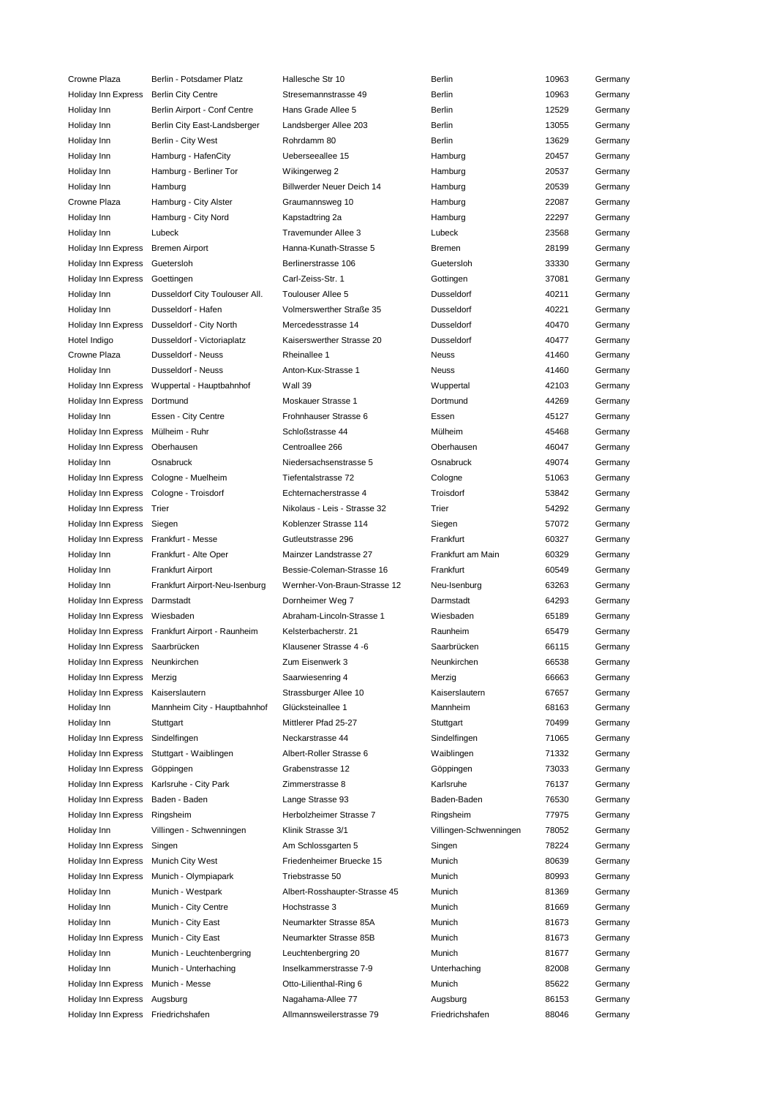Crowne Plaza Berlin - Potsdamer Platz Hallesche Str 10 Berlin 10963 Germany Holiday Inn Express Berlin City Centre Stresemannstrasse 49 Berlin 10963 Germany Holiday Inn Berlin Airport - Conf Centre Hans Grade Allee 5 Berlin Berlin 12529 Germany Holiday Inn Berlin City East-Landsberger Landsberger Allee 203 Berlin 13055 Germany Holiday Inn **Berlin - City West** Rohrdamm 80 **Berlin 13629** Germany Holiday Inn Hamburg - HafenCity Cleberseeallee 15 Hamburg Hamburg 20457 Germany Holiday Inn Hamburg - Berliner Tor Wikingerweg 2 Hamburg Hamburg 20537 Germany Holiday Inn Hamburg Chamburg Billwerder Neuer Deich 14 Hamburg 20539 Germany Crowne Plaza Hamburg - City Alster Graumannsweg 10 Hamburg 22087 Germany Holiday Inn Hamburg - City Nord Kapstadtring 2a Hamburg Hamburg 22297 Germany Holiday Inn Lubeck Travemunder Allee 3 Lubeck 23568 Germany Holiday Inn Express Bremen Airport Hanna-Kunath-Strasse 5 Bremen 28199 Germany Holiday Inn Express Guetersloh Berlinerstrasse 106 Guetersloh 33330 Germany Holiday Inn Express Goettingen Carl-Zeiss-Str. 1 Gottingen 37081 Germany Holiday Inn Dusseldorf City Toulouser All. Toulouser Allee 5 Dusseldorf 40211 Germany Holiday Inn Dusseldorf - Hafen Volmerswerther Straße 35 Dusseldorf 40221 Germany Holiday Inn Express Dusseldorf - City North Mercedesstrasse 14 Dusseldorf 10 Mercedesstrasse 14 Hotel Indigo Dusseldorf - Victoriaplatz Kaiserswerther Strasse 20 Dusseldorf 40477 Germany Crowne Plaza Dusseldorf - Neuss Rheinallee 1 Neuss Neuss And 41460 Germany Holiday Inn Dusseldorf - Neuss Anton-Kux-Strasse 1 Neuss 41460 Germany Holiday Inn Express Wuppertal - Hauptbahnhof Wall 39 Wuppertal 42103 Germany Holiday Inn Express Dortmund **Moskauer Strasse 1** Dortmund 44269 Germany Holiday Inn Essen - City Centre Frohnhauser Strasse 6 Essen 45127 Germany Holiday Inn Express Mülheim - Ruhr Schloßstrasse 44 Mülheim 45468 Germany Holiday Inn Express Oberhausen Centroallee 266 Oberhausen 46047 Germany Holiday Inn Osnabruck Niedersachsenstrasse 5 Osnabruck 49074 Germany Holiday Inn Express Cologne - Muelheim Tiefentalstrasse 72 Cologne Cologne 51063 Germany Holiday Inn Express Cologne - Troisdorf Echternacherstrasse 4 Troisdorf 53842 Germany Holiday Inn Express Trier Trier Nikolaus - Leis - Strasse 32 Trier 54292 Germany Holiday Inn Express Siegen Koblenzer Strasse 114 Siegen 57072 Germany Holiday Inn Express Frankfurt - Messe Gutleutstrasse 296 Frankfurt 60327 Germany Holiday Inn Frankfurt - Alte Oper Mainzer Landstrasse 27 Frankfurt am Main 60329 Germany Holiday Inn Frankfurt Airport Bessie-Coleman-Strasse 16 Frankfurt 60549 Germany Holiday Inn Frankfurt Airport-Neu-Isenburg Wernher-Von-Braun-Strasse 12 Neu-Isenburg 63263 Germany Holiday Inn Express Darmstadt Dornheimer Weg 7 Darmstadt 64293 Germany Holiday Inn Express Wiesbaden Abraham-Lincoln-Strasse 1 Wiesbaden 65189 Germany Holiday Inn Express Frankfurt Airport - Raunheim Kelsterbacherstr. 21 Raunheim 65479 Germany Holiday Inn Express Saarbrücken Klausener Strasse 4 -6 Saarbrücken 66115 Germany Holiday Inn Express Neunkirchen Zum Eisenwerk 3 Neunkirchen 66538 Germany Holiday Inn Express Merzig Saarwiesenring 4 Merzig 66663 Germany Holiday Inn Express Kaiserslautern Strassburger Allee 10 Kaiserslautern 67657 Germany Holiday Inn Mannheim City - Hauptbahnhof Glücksteinallee 1 Mannheim 68163 Germany Holiday Inn Stuttgart Mittlerer Pfad 25-27 Stuttgart 70499 Germany Holiday Inn Express Sindelfingen Neckarstrasse 44 Sindelfingen 71065 Germany Holiday Inn Express Stuttgart - Waiblingen Albert-Roller Strasse 6 Waiblingen 71332 Germany Holiday Inn Express Göppingen Grabenstrasse 12 Göppingen 73033 Germany Holiday Inn Express Karlsruhe - City Park Zimmerstrasse 8 Karlsruhe 76137 Germany Holiday Inn Express Baden - Baden Lange Strasse 93 Baden-Baden 76530 Germany Holiday Inn Express Ringsheim Herbolzheimer Strasse 7 Ringsheim 77975 Germany Holiday Inn Villingen - Schwenningen Klinik Strasse 3/1 Villingen-Schwenningen 78052 Germany Holiday Inn Express Singen **Am Schlossgarten 5** Singen Singen 78224 Germany Holiday Inn Express Munich City West Friedenheimer Bruecke 15 Munich 80639 Germany Holiday Inn Express Munich - Olympiapark Triebstrasse 50 Munich 80993 Germany Holiday Inn Munich - Westpark Albert-Rosshaupter-Strasse 45 Munich 81369 Germany Holiday Inn Munich - City Centre Hochstrasse 3 Munich Munich 81669 Germany Holiday Inn Munich - City East Neumarkter Strasse 85A Munich 81673 Germany Holiday Inn Express Munich - City East Neumarkter Strasse 85B Munich 81673 Germany Holiday Inn Munich - Leuchtenbergring Leuchtenbergring 20 Munich 81677 Germany Holiday Inn Munich - Unterhaching Inselkammerstrasse 7-9 Unterhaching 82008 Germany Holiday Inn Express Munich - Messe **Ctriber Action Controller Controller** Munich 85622 Germany Holiday Inn Express Augsburg **Nagahama-Allee 77** Augsburg Augsburg 86153 Germany Holiday Inn Express Friedrichshafen Allmannsweilerstrasse 79 Friedrichshafen 88046 Germany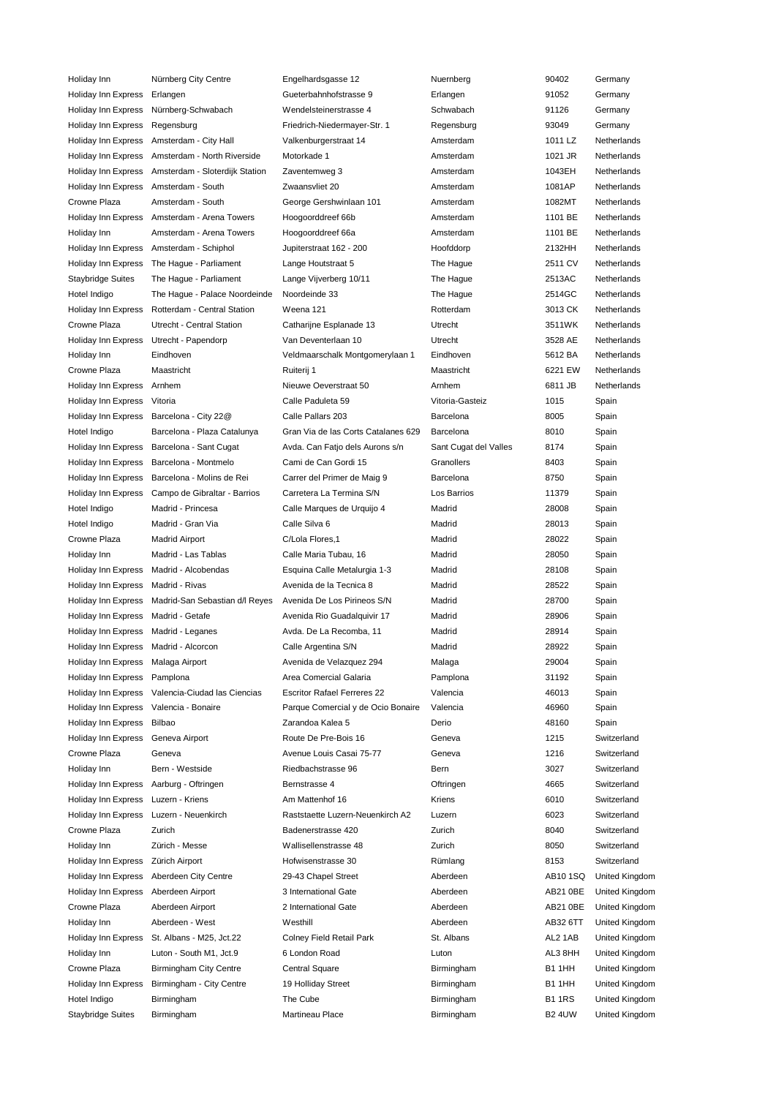| Holiday Inn              | Nürnberg City Centre           | Engelhardsgasse 12                  | Nuernberg             | 90402         | Germany        |
|--------------------------|--------------------------------|-------------------------------------|-----------------------|---------------|----------------|
| Holiday Inn Express      | Erlangen                       | Gueterbahnhofstrasse 9              | Erlangen              | 91052         | Germany        |
| Holiday Inn Express      | Nürnberg-Schwabach             | Wendelsteinerstrasse 4              | Schwabach             | 91126         | Germany        |
| Holiday Inn Express      | Regensburg                     | Friedrich-Niedermayer-Str. 1        | Regensburg            | 93049         | Germany        |
| Holiday Inn Express      | Amsterdam - City Hall          | Valkenburgerstraat 14               | Amsterdam             | 1011 LZ       | Netherlands    |
| Holiday Inn Express      | Amsterdam - North Riverside    | Motorkade 1                         | Amsterdam             | 1021 JR       | Netherlands    |
| Holiday Inn Express      | Amsterdam - Sloterdijk Station | Zaventemweg 3                       | Amsterdam             | 1043EH        | Netherlands    |
| Holiday Inn Express      | Amsterdam - South              | Zwaansvliet 20                      | Amsterdam             | 1081AP        | Netherlands    |
| Crowne Plaza             | Amsterdam - South              | George Gershwinlaan 101             | Amsterdam             | 1082MT        | Netherlands    |
| Holiday Inn Express      | Amsterdam - Arena Towers       | Hoogoorddreef 66b                   | Amsterdam             | 1101 BE       | Netherlands    |
| Holiday Inn              | Amsterdam - Arena Towers       | Hoogoorddreef 66a                   | Amsterdam             | 1101 BE       | Netherlands    |
| Holiday Inn Express      | Amsterdam - Schiphol           | Jupiterstraat 162 - 200             | Hoofddorp             | 2132HH        | Netherlands    |
|                          |                                |                                     |                       | 2511 CV       | Netherlands    |
| Holiday Inn Express      | The Hague - Parliament         | Lange Houtstraat 5                  | The Hague             |               |                |
| <b>Staybridge Suites</b> | The Hague - Parliament         | Lange Vijverberg 10/11              | The Hague             | 2513AC        | Netherlands    |
| Hotel Indigo             | The Hague - Palace Noordeinde  | Noordeinde 33                       | The Hague             | 2514GC        | Netherlands    |
| Holiday Inn Express      | Rotterdam - Central Station    | Weena 121                           | Rotterdam             | 3013 CK       | Netherlands    |
| Crowne Plaza             | Utrecht - Central Station      | Catharijne Esplanade 13             | Utrecht               | 3511WK        | Netherlands    |
| Holiday Inn Express      | Utrecht - Papendorp            | Van Deventerlaan 10                 | Utrecht               | 3528 AE       | Netherlands    |
| Holiday Inn              | Eindhoven                      | Veldmaarschalk Montgomerylaan 1     | Eindhoven             | 5612 BA       | Netherlands    |
| Crowne Plaza             | Maastricht                     | Ruiterij 1                          | Maastricht            | 6221 EW       | Netherlands    |
| Holiday Inn Express      | Arnhem                         | Nieuwe Oeverstraat 50               | Arnhem                | 6811 JB       | Netherlands    |
| Holiday Inn Express      | Vitoria                        | Calle Paduleta 59                   | Vitoria-Gasteiz       | 1015          | Spain          |
| Holiday Inn Express      | Barcelona - City 22@           | Calle Pallars 203                   | Barcelona             | 8005          | Spain          |
| Hotel Indigo             | Barcelona - Plaza Catalunya    | Gran Via de las Corts Catalanes 629 | Barcelona             | 8010          | Spain          |
| Holiday Inn Express      | Barcelona - Sant Cugat         | Avda. Can Fatjo dels Aurons s/n     | Sant Cugat del Valles | 8174          | Spain          |
| Holiday Inn Express      | Barcelona - Montmelo           | Cami de Can Gordi 15                | Granollers            | 8403          | Spain          |
| Holiday Inn Express      | Barcelona - Molins de Rei      | Carrer del Primer de Maig 9         | Barcelona             | 8750          | Spain          |
| Holiday Inn Express      | Campo de Gibraltar - Barrios   | Carretera La Termina S/N            | Los Barrios           | 11379         | Spain          |
| Hotel Indigo             | Madrid - Princesa              | Calle Marques de Urquijo 4          | Madrid                | 28008         | Spain          |
| Hotel Indigo             | Madrid - Gran Via              | Calle Silva 6                       | Madrid                | 28013         | Spain          |
| Crowne Plaza             | <b>Madrid Airport</b>          | C/Lola Flores,1                     | Madrid                | 28022         | Spain          |
| Holiday Inn              | Madrid - Las Tablas            | Calle Maria Tubau, 16               | Madrid                | 28050         | Spain          |
| Holiday Inn Express      | Madrid - Alcobendas            | Esquina Calle Metalurgia 1-3        | Madrid                | 28108         | Spain          |
| Holiday Inn Express      | Madrid - Rivas                 | Avenida de la Tecnica 8             | Madrid                | 28522         | Spain          |
| Holiday Inn Express      | Madrid-San Sebastian d/l Reyes | Avenida De Los Pirineos S/N         | Madrid                | 28700         | Spain          |
| Holiday Inn Express      | Madrid - Getafe                | Avenida Rio Guadalquivir 17         | Madrid                | 28906         | Spain          |
| Holiday Inn Express      | Madrid - Leganes               | Avda. De La Recomba, 11             | Madrid                | 28914         | Spain          |
| Holiday Inn Express      | Madrid - Alcorcon              | Calle Argentina S/N                 | Madrid                | 28922         | Spain          |
| Holiday Inn Express      | Malaga Airport                 | Avenida de Velazquez 294            | Malaga                | 29004         | Spain          |
| Holiday Inn Express      | Pamplona                       | Area Comercial Galaria              | Pamplona              | 31192         | Spain          |
| Holiday Inn Express      | Valencia-Ciudad las Ciencias   | <b>Escritor Rafael Ferreres 22</b>  | Valencia              | 46013         | Spain          |
| Holiday Inn Express      | Valencia - Bonaire             | Parque Comercial y de Ocio Bonaire  | Valencia              | 46960         | Spain          |
| Holiday Inn Express      |                                | Zarandoa Kalea 5                    | Derio                 | 48160         |                |
|                          | Bilbao                         |                                     |                       |               | Spain          |
| Holiday Inn Express      | Geneva Airport                 | Route De Pre-Bois 16                | Geneva                | 1215          | Switzerland    |
| Crowne Plaza             | Geneva                         | Avenue Louis Casai 75-77            | Geneva                | 1216          | Switzerland    |
| Holiday Inn              | Bern - Westside                | Riedbachstrasse 96                  | Bern                  | 3027          | Switzerland    |
| Holiday Inn Express      | Aarburg - Oftringen            | Bernstrasse 4                       | Oftringen             | 4665          | Switzerland    |
| Holiday Inn Express      | Luzern - Kriens                | Am Mattenhof 16                     | Kriens                | 6010          | Switzerland    |
| Holiday Inn Express      | Luzern - Neuenkirch            | Raststaette Luzern-Neuenkirch A2    | Luzern                | 6023          | Switzerland    |
| Crowne Plaza             | Zurich                         | Badenerstrasse 420                  | Zurich                | 8040          | Switzerland    |
| Holiday Inn              | Zürich - Messe                 | Wallisellenstrasse 48               | Zurich                | 8050          | Switzerland    |
| Holiday Inn Express      | Zürich Airport                 | Hofwisenstrasse 30                  | Rümlang               | 8153          | Switzerland    |
| Holiday Inn Express      | Aberdeen City Centre           | 29-43 Chapel Street                 | Aberdeen              | AB10 1SQ      | United Kingdom |
| Holiday Inn Express      | Aberdeen Airport               | 3 International Gate                | Aberdeen              | AB21 0BE      | United Kingdom |
| Crowne Plaza             | Aberdeen Airport               | 2 International Gate                | Aberdeen              | AB21 0BE      | United Kingdom |
| Holiday Inn              | Aberdeen - West                | Westhill                            | Aberdeen              | AB32 6TT      | United Kingdom |
| Holiday Inn Express      | St. Albans - M25, Jct.22       | Colney Field Retail Park            | St. Albans            | AL2 1AB       | United Kingdom |
| Holiday Inn              | Luton - South M1, Jct.9        | 6 London Road                       | Luton                 | AL3 8HH       | United Kingdom |
| Crowne Plaza             | <b>Birmingham City Centre</b>  | Central Square                      | Birmingham            | <b>B1 1HH</b> | United Kingdom |
| Holiday Inn Express      | Birmingham - City Centre       | 19 Holliday Street                  | Birmingham            | B1 1HH        | United Kingdom |
| Hotel Indigo             | Birmingham                     | The Cube                            | Birmingham            | <b>B11RS</b>  | United Kingdom |
| <b>Staybridge Suites</b> | Birmingham                     | Martineau Place                     | Birmingham            | <b>B2 4UW</b> | United Kingdom |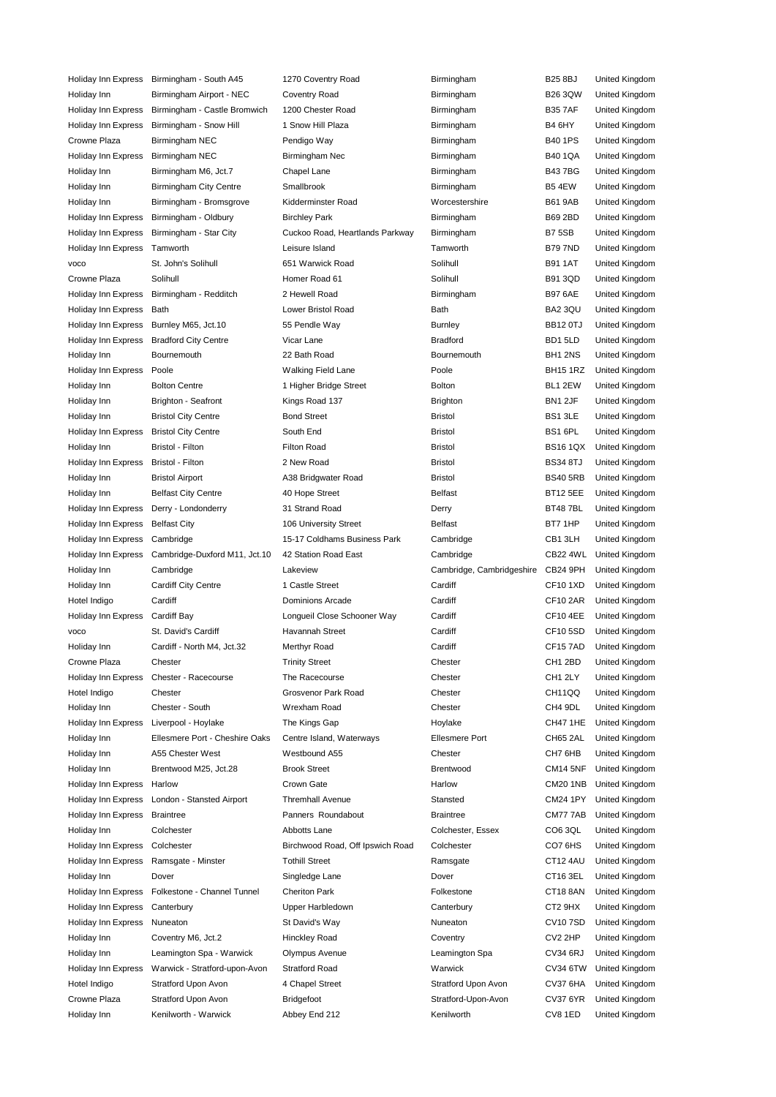| Holiday Inn Express         | Birmingham - South A45                      | 1270 Coventry Road               | Birmingham                        | <b>B25 8BJ</b>      | United Kingdom                   |
|-----------------------------|---------------------------------------------|----------------------------------|-----------------------------------|---------------------|----------------------------------|
| Holiday Inn                 | Birmingham Airport - NEC                    | Coventry Road                    | Birmingham                        | <b>B26 3QW</b>      | United Kingdom                   |
| <b>Holiday Inn Express</b>  | Birmingham - Castle Bromwich                | 1200 Chester Road                | Birmingham                        | <b>B357AF</b>       | United Kingdom                   |
| <b>Holiday Inn Express</b>  | Birmingham - Snow Hill                      | 1 Snow Hill Plaza                | Birmingham                        | B4 6HY              | United Kingdom                   |
| Crowne Plaza                | Birmingham NEC                              | Pendigo Way                      | Birmingham                        | <b>B40 1PS</b>      | United Kingdom                   |
| Holiday Inn Express         | <b>Birmingham NEC</b>                       | Birmingham Nec                   | Birmingham                        | <b>B40 1QA</b>      | United Kingdom                   |
| Holiday Inn                 | Birmingham M6, Jct.7                        | Chapel Lane                      | Birmingham                        | <b>B437BG</b>       | United Kingdom                   |
| Holiday Inn                 | <b>Birmingham City Centre</b>               | Smallbrook                       | Birmingham                        | <b>B54EW</b>        | United Kingdom                   |
| Holiday Inn                 | Birmingham - Bromsgrove                     | Kidderminster Road               | Worcestershire                    | <b>B61 9AB</b>      | United Kingdom                   |
| Holiday Inn Express         | Birmingham - Oldbury                        | <b>Birchley Park</b>             | Birmingham                        | <b>B69 2BD</b>      | United Kingdom                   |
| Holiday Inn Express         | Birmingham - Star City                      | Cuckoo Road, Heartlands Parkway  | Birmingham                        | B7 5SB              | United Kingdom                   |
| Holiday Inn Express         | Tamworth                                    | Leisure Island                   | Tamworth                          | <b>B797ND</b>       | United Kingdom                   |
| <b>VOCO</b>                 | St. John's Solihull                         | 651 Warwick Road                 | Solihull                          | <b>B91 1AT</b>      | United Kingdom                   |
| Crowne Plaza                | Solihull                                    | Homer Road 61                    | Solihull                          | <b>B91 3QD</b>      | United Kingdom                   |
| Holiday Inn Express         | Birmingham - Redditch                       | 2 Hewell Road                    | Birmingham                        | <b>B97 6AE</b>      | United Kingdom                   |
| Holiday Inn Express         | Bath                                        | Lower Bristol Road               | <b>Bath</b>                       | BA2 3QU             | United Kingdom                   |
| Holiday Inn Express         | Burnley M65, Jct.10                         | 55 Pendle Way                    | <b>Burnley</b>                    | <b>BB12 0TJ</b>     | United Kingdom                   |
| Holiday Inn Express         | <b>Bradford City Centre</b>                 | Vicar Lane                       | <b>Bradford</b>                   | BD1 5LD             | United Kingdom                   |
| Holiday Inn                 | Bournemouth                                 | 22 Bath Road                     | Bournemouth                       | BH1 2NS             | United Kingdom                   |
| Holiday Inn Express         | Poole                                       | <b>Walking Field Lane</b>        | Poole                             | <b>BH15 1RZ</b>     | United Kingdom                   |
| Holiday Inn                 | <b>Bolton Centre</b>                        | 1 Higher Bridge Street           | <b>Bolton</b>                     | BL1 2EW             | United Kingdom                   |
|                             | <b>Brighton - Seafront</b>                  | Kings Road 137                   | <b>Brighton</b>                   | BN1 2JF             |                                  |
| Holiday Inn                 |                                             |                                  |                                   |                     | United Kingdom                   |
| Holiday Inn                 | <b>Bristol City Centre</b>                  | <b>Bond Street</b>               | <b>Bristol</b>                    | BS1 3LE             | United Kingdom                   |
| Holiday Inn Express         | <b>Bristol City Centre</b>                  | South End                        | <b>Bristol</b>                    | BS1 6PL             | United Kingdom                   |
| Holiday Inn                 | Bristol - Filton                            | <b>Filton Road</b>               | <b>Bristol</b>                    | <b>BS16 1QX</b>     | United Kingdom                   |
| Holiday Inn Express         | Bristol - Filton                            | 2 New Road                       | <b>Bristol</b>                    | <b>BS34 8TJ</b>     | United Kingdom                   |
| Holiday Inn                 | <b>Bristol Airport</b>                      | A38 Bridgwater Road              | <b>Bristol</b>                    | <b>BS40 5RB</b>     | United Kingdom                   |
| Holiday Inn                 | <b>Belfast City Centre</b>                  | 40 Hope Street                   | <b>Belfast</b>                    | <b>BT12 5EE</b>     | United Kingdom                   |
| Holiday Inn Express         | Derry - Londonderry                         | 31 Strand Road                   | Derry                             | <b>BT487BL</b>      | United Kingdom                   |
| Holiday Inn Express         | <b>Belfast City</b>                         | 106 University Street            | <b>Belfast</b>                    | BT7 1HP             | United Kingdom                   |
| Holiday Inn Express         | Cambridge                                   | 15-17 Coldhams Business Park     | Cambridge                         | CB1 3LH             | United Kingdom                   |
|                             |                                             |                                  |                                   |                     |                                  |
| Holiday Inn Express         | Cambridge-Duxford M11, Jct.10               | 42 Station Road East             | Cambridge                         | <b>CB22 4WL</b>     | United Kingdom                   |
| Holiday Inn                 | Cambridge                                   | Lakeview                         | Cambridge, Cambridgeshire         | CB24 9PH            | United Kingdom                   |
| Holiday Inn                 | Cardiff City Centre                         | 1 Castle Street                  | Cardiff                           | <b>CF101XD</b>      | United Kingdom                   |
| Hotel Indigo                | Cardiff                                     | Dominions Arcade                 | Cardiff                           | <b>CF10 2AR</b>     | United Kingdom                   |
| Holiday Inn Express         | <b>Cardiff Bay</b>                          | Longueil Close Schooner Way      | Cardiff                           | CF10 4EE            | United Kingdom                   |
| voco                        | St. David's Cardiff                         | Havannah Street                  | Cardiff                           | CF10 5SD            | United Kingdom                   |
| Holiday Inn                 | Cardiff - North M4, Jct.32                  | Merthyr Road                     | Cardiff                           | CF157AD             | United Kingdom                   |
| Crowne Plaza                | Chester                                     | <b>Trinity Street</b>            | Chester                           | CH1 2BD             | United Kingdom                   |
| <b>Holiday Inn Express</b>  | Chester - Racecourse                        | The Racecourse                   | Chester                           | CH1 2LY             | United Kingdom                   |
| Hotel Indigo                | Chester                                     | Grosvenor Park Road              | Chester                           | CH11QQ              | United Kingdom                   |
| Holiday Inn                 | Chester - South                             | Wrexham Road                     | Chester                           | CH4 9DL             | United Kingdom                   |
| Holiday Inn Express         | Liverpool - Hoylake                         | The Kings Gap                    | Hoylake                           | CH47 1HE            | United Kingdom                   |
| Holiday Inn                 | Ellesmere Port - Cheshire Oaks              | Centre Island, Waterways         | <b>Ellesmere Port</b>             | CH65 2AL            | United Kingdom                   |
| Holiday Inn                 | A55 Chester West                            | Westbound A55                    | Chester                           | CH7 6HB             | United Kingdom                   |
| Holiday Inn                 | Brentwood M25, Jct.28                       | <b>Brook Street</b>              | <b>Brentwood</b>                  | <b>CM14 5NF</b>     | United Kingdom                   |
| Holiday Inn Express         | Harlow                                      | Crown Gate                       | Harlow                            | <b>CM20 1NB</b>     | United Kingdom                   |
|                             |                                             |                                  | Stansted                          |                     |                                  |
| Holiday Inn Express         | London - Stansted Airport                   | <b>Thremhall Avenue</b>          | <b>Braintree</b>                  | <b>CM24 1PY</b>     | United Kingdom                   |
| Holiday Inn Express         | <b>Braintree</b>                            | Panners Roundabout               |                                   | CM777AB             | United Kingdom                   |
| Holiday Inn                 | Colchester                                  | Abbotts Lane                     | Colchester, Essex                 | CO6 3QL             | United Kingdom                   |
| Holiday Inn Express         | Colchester                                  | Birchwood Road, Off Ipswich Road | Colchester                        | CO7 6HS             | United Kingdom                   |
| Holiday Inn Express         | Ramsgate - Minster                          | <b>Tothill Street</b>            | Ramsgate                          | CT12 4AU            | United Kingdom                   |
| Holiday Inn                 | Dover                                       | Singledge Lane                   | Dover                             | CT16 3EL            | United Kingdom                   |
| Holiday Inn Express         | Folkestone - Channel Tunnel                 | <b>Cheriton Park</b>             | Folkestone                        | CT18 8AN            | United Kingdom                   |
| Holiday Inn Express         | Canterbury                                  | Upper Harbledown                 | Canterbury                        | CT2 9HX             | United Kingdom                   |
| Holiday Inn Express         | Nuneaton                                    | St David's Way                   | Nuneaton                          | <b>CV107SD</b>      | United Kingdom                   |
| Holiday Inn                 | Coventry M6, Jct.2                          | Hinckley Road                    | Coventry                          | CV2 2HP             | United Kingdom                   |
| Holiday Inn                 | Leamington Spa - Warwick                    | Olympus Avenue                   | Leamington Spa                    | CV34 6RJ            | United Kingdom                   |
| Holiday Inn Express         | Warwick - Stratford-upon-Avon               | <b>Stratford Road</b>            | Warwick                           | CV34 6TW            | United Kingdom                   |
| Hotel Indigo                | Stratford Upon Avon                         | 4 Chapel Street                  | Stratford Upon Avon               | CV37 6HA            | United Kingdom                   |
| Crowne Plaza<br>Holiday Inn | Stratford Upon Avon<br>Kenilworth - Warwick | Bridgefoot<br>Abbey End 212      | Stratford-Upon-Avon<br>Kenilworth | CV37 6YR<br>CV8 1ED | United Kingdom<br>United Kingdom |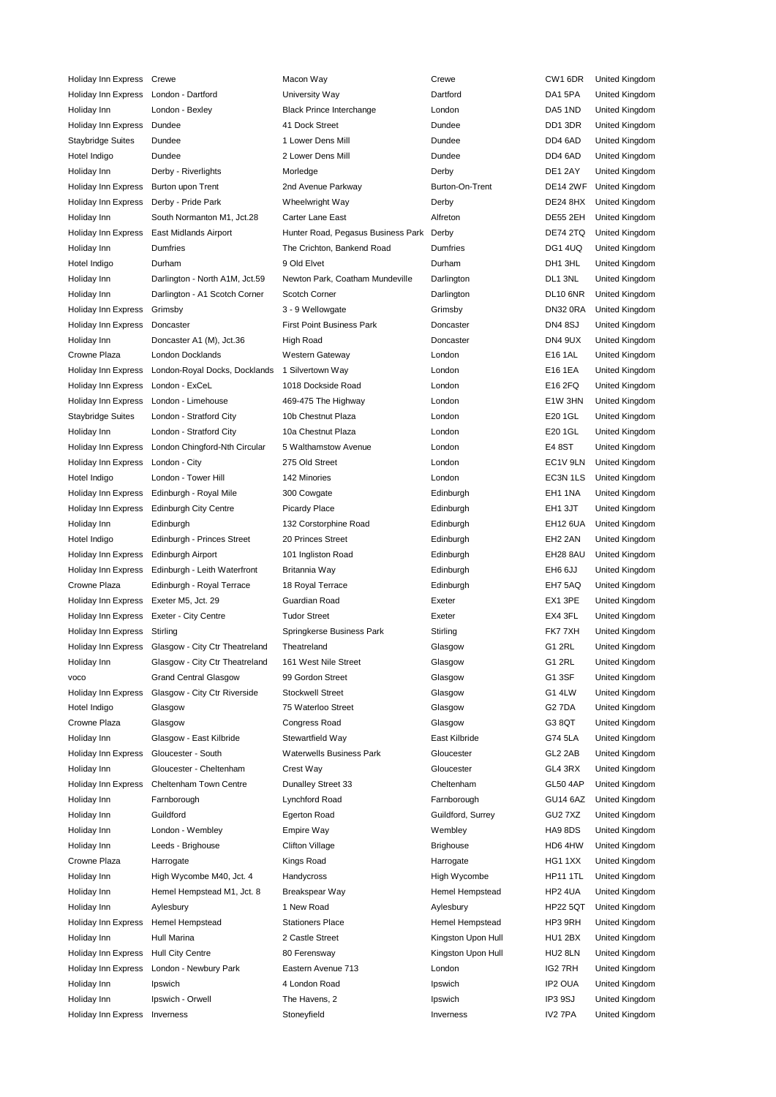Holiday Inn Express Crewe Macon Way Crewe CW1 6DR United Kingdom Holiday Inn Express London - Dartford University Way Dartford DA1 5PA United Kingdom Holiday Inn London - Bexley Black Prince Interchange London DA5 1ND United Kingdom Holiday Inn Express Dundee 41 Dock Street Dundee DD1 3DR United Kingdom Staybridge Suites Dundee 1 Lower Dens Mill Dundee Dundee DD4 6AD United Kingdom Hotel Indigo Dundee 2 Lower Dens Mill Dundee Dundee DD4 6AD United Kingdom Holiday Inn Derby - Riverlights Morledge Derby DE1 2AY United Kingdom Holiday Inn Express Burton upon Trent 2nd Avenue Parkway Burton-On-Trent DE14 2WF United Kingdom Holiday Inn Express Derby - Pride Park Wheelwright Way Derby DE24 8HX United Kingdom Holiday Inn South Normanton M1, Jct.28 Carter Lane East Alfreton Alfreton DE55 2EH United Kingdom Holiday Inn Express East Midlands Airport Hunter Road, Pegasus Business Park Derby DE74 2TQ United Kingdom Holiday Inn Dumfries The Crichton, Bankend Road Dumfries DG1 4UQ United Kingdom Hotel Indigo Durham 9 Old Elvet Durham DH1 3HL United Kingdom Holiday Inn Darlington - North A1M, Jct.59 Newton Park, Coatham Mundeville Darlington DL1 3NL United Kingdom Holiday Inn Darlington - A1 Scotch Corner Scotch Corner Darlington DL10 6NR United Kingdom Holiday Inn Express Grimsby **3** - 9 Wellowgate Grimsby Grimsby **DN32 0RA** United Kingdom Holiday Inn Express Doncaster **First Point Business Park** Doncaster **Doncaster** DN4 8SJ United Kingdom Holiday Inn Doncaster A1 (M), Jct.36 High Road Doncaster Doncaster DN4 9UX United Kingdom Crowne Plaza London Docklands Western Gateway London E16 1AL United Kingdom Holiday Inn Express London-Royal Docks, Docklands 1 Silvertown Way London E16 1EA United Kingdom Holiday Inn Express London - ExCeL 1018 Dockside Road London E16 2FQ United Kingdom Holiday Inn Express London - Limehouse 469-475 The Highway London London E1W 3HN United Kingdom Staybridge Suites London - Stratford City 10b Chestnut Plaza London London E20 1GL United Kingdom Holiday Inn London - Stratford City 10a Chestnut Plaza London E20 1GL United Kingdom Holiday Inn Express London Chingford-Nth Circular 5 Walthamstow Avenue London E4 8ST United Kingdom Holiday Inn Express London - City 275 Old Street London London EC1V 9LN United Kingdom Hotel Indigo London - Tower Hill 142 Minories London EC3N 1LS United Kingdom Holiday Inn Express Edinburgh - Royal Mile 300 Cowgate 300 Cowgate Edinburgh EH1 1NA United Kingdom Holiday Inn Express Edinburgh City Centre Picardy Place **Edinburgh Edinburgh EH1 3JT** United Kingdom Holiday Inn Edinburgh 132 Corstorphine Road Edinburgh EH12 6UA United Kingdom Hotel Indigo Edinburgh - Princes Street 20 Princes Street Edinburgh EH2 2AN United Kingdom Holiday Inn Express Edinburgh Airport 101 Ingliston Road Edinburgh EH28 8AU United Kingdom Holiday Inn Express Edinburgh - Leith Waterfront Britannia Way **Edinburgh Edinburgh CH6 6JJ** United Kingdom Crowne Plaza Edinburgh - Royal Terrace 18 Royal Terrace Edinburgh EH7 5AQ United Kingdom Holiday Inn Express Exeter M5, Jct. 29 Guardian Road Exeter EX1 3PE United Kingdom Holiday Inn Express Exeter - City Centre Tudor Street Exeter EX4 3FL United Kingdom Holiday Inn Express Stirling The Springkerse Business Park Stirling FK7 7XH United Kingdom Holiday Inn Express Glasgow - City Ctr Theatreland Theatreland Glasgow Glasgow G1 2RL United Kingdom Holiday Inn Glasgow - City Ctr Theatreland 161 West Nile Street Glasgow Glasgow G1 2RL United Kingdom voco Grand Central Glasgow 99 Gordon Street Glasgow G1 3SF United Kingdom Holiday Inn Express Glasgow - City Ctr Riverside Stockwell Street Glasgow Glasgow G1 4LW United Kingdom Hotel Indigo Glasgow 75 Waterloo Street Glasgow G2 7DA United Kingdom Crowne Plaza Glasgow Congress Road Glasgow G3 8QT United Kingdom Holiday Inn Glasgow - East Kilbride Stewartfield Way East Kilbride G74 5LA United Kingdom Holiday Inn Express Gloucester - South Waterwells Business Park Gloucester GL2 2AB United Kingdom Holiday Inn Gloucester - Cheltenham Crest Way Gloucester GL4 3RX United Kingdom Holiday Inn Express Cheltenham Town Centre Dunalley Street 33 Cheltenham GL50 4AP United Kingdom Holiday Inn Farnborough Lynchford Road Farnborough GU14 6AZ United Kingdom Holiday Inn Guildford Egerton Road Guildford, Surrey GU2 7XZ United Kingdom Holiday Inn London - Wembley Empire Way Wembley HA9 8DS United Kingdom Holiday Inn Leeds - Brighouse Clifton Village Brighouse Brighouse HD6 4HW United Kingdom Crowne Plaza Harrogate Narth Kings Road Narrogate HG1 1XX United Kingdom Holiday Inn High Wycombe M40, Jct. 4 Handycross High Wycombe HP11 1TL United Kingdom Holiday Inn Hemel Hempstead M1, Jct. 8 Breakspear Way Hemel Hempstead HP2 4UA United Kingdom Holiday Inn Aylesbury 1 New Road Aylesbury HP22 5QT United Kingdom Holiday Inn Express Hemel Hempstead Stationers Place Hemel Hempstead HP3 9RH United Kingdom Holiday Inn Hull Marina 2 Castle Street Kingston Upon Hull HU1 2BX United Kingdom Holiday Inn Express Hull City Centre **80 Ferensway Community Community** Kingston Upon Hull HU2 8LN United Kingdom Holiday Inn Express London - Newbury Park Eastern Avenue 713 London London IG2 7RH United Kingdom Holiday Inn Ipswich 4 London Road Ipswich IP2 OUA United Kingdom Holiday Inn Ipswich - Orwell The Havens, 2 Ipswich IP3 9SJ United Kingdom Holiday Inn Express Inverness **Stoneyfield** Stoneyfield Inverness Inverness IV2 7PA United Kingdom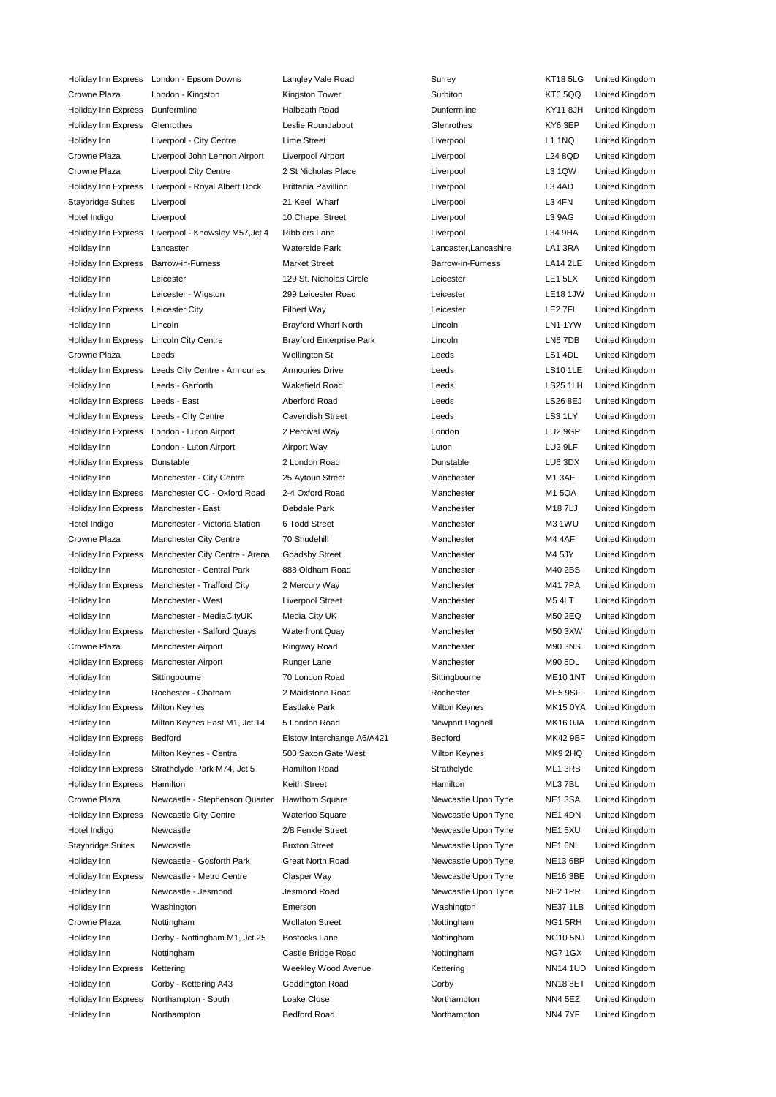Holiday Inn Express London - Epsom Downs Langley Vale Road Surrey KT18 5LG United Kingdom Crowne Plaza London - Kingston Mingston Tower Surbiton Surbiton KT6 5QQ United Kingdom Holiday Inn Express Dunfermline Thalbeath Road Dunfermline Mexical Halbeath Road Dunfermline KY11 8JH United Kingdom Holiday Inn Express Glenrothes Leslie Roundabout Glenrothes KY6 3EP United Kingdom Holiday Inn Liverpool - City Centre Lime Street Liverpool L1 1NQ United Kingdom Crowne Plaza Liverpool John Lennon Airport Liverpool Airport Liverpool L24 8QD United Kingdom Crowne Plaza Liverpool City Centre 2 St Nicholas Place Liverpool L3 1QW United Kingdom Holiday Inn Express Liverpool - Royal Albert Dock Brittania Pavillion Liverpool Liverpool L3 4AD United Kingdom Staybridge Suites Liverpool 21 Keel Wharf Liverpool Liverpool L3 4FN United Kingdom Hotel Indigo Liverpool 10 Chapel Street Liverpool L3 9AG United Kingdom Holiday Inn Express Liverpool - Knowsley M57, Jct.4 Ribblers Lane Liverpool Liverpool L34 9HA United Kingdom Holiday Inn Lancaster Waterside Park Lancaster,Lancashire LA1 3RA United Kingdom Holiday Inn Express Barrow-in-Furness Market Street Barrow-in-Furness LA14 2LE United Kingdom Holiday Inn Leicester 129 St. Nicholas Circle Leicester LE1 5LX United Kingdom Holiday Inn Leicester - Wigston 299 Leicester Road Leicester LE18 1JW United Kingdom Holiday Inn Express Leicester City Filbert Way Leicester LE2 7FL United Kingdom Holiday Inn Lincoln Brayford Wharf North Lincoln LN1 1YW United Kingdom Holiday Inn Express Lincoln City Centre Brayford Enterprise Park Lincoln LN6 7DB United Kingdom Crowne Plaza Leeds Wellington St Leeds LS1 4DL United Kingdom Holiday Inn Express Leeds City Centre - Armouries Armouries Drive Leeds LS10 1LE United Kingdom Holiday Inn Leeds - Garforth Wakefield Road Leeds LS25 1LH United Kingdom Holiday Inn Express Leeds - East Aberford Road Leeds LS26 8EJ United Kingdom Holiday Inn Express Leeds - City Centre Cavendish Street Cavendish Street Leeds Leeds LS3 1LY United Kingdom Holiday Inn Express London - Luton Airport 2 Percival Way London LU2 9GP United Kingdom Holiday Inn London - Luton Airport Airport Way Luton LU2 9LF United Kingdom Holiday Inn Express Dunstable 2 London Road Dunstable LU6 3DX United Kingdom Holiday Inn Manchester - City Centre 25 Aytoun Street Manchester M1 3AE United Kingdom Holiday Inn Express Manchester CC - Oxford Road 2-4 Oxford Road Manchester Manchester M1 5QA United Kingdom Holiday Inn Express Manchester - East Debdale Park Manchester M18 7LJ United Kingdom Hotel Indigo Manchester - Victoria Station 6 Todd Street Manchester M3 1WU United Kingdom Crowne Plaza Manchester City Centre 70 Shudehill Manchester Manchester M4 4AF United Kingdom Holiday Inn Express Manchester City Centre - Arena Goadsby Street Manchester Manchester M4 5JY United Kingdom Holiday Inn Manchester - Central Park 888 Oldham Road Manchester MA10 2BS United Kingdom Holiday Inn Express Manchester - Trafford City 2 Mercury Way Manchester MA1 7PA United Kingdom Holiday Inn Manchester - West Liverpool Street Manchester M5 4LT United Kingdom Holiday Inn Manchester - MediaCityUK Media City UK Manchester Manchester M50 2EQ United Kingdom Holiday Inn Express Manchester - Salford Quays Waterfront Quay Manchester MAN Manchester M50 3XW United Kingdom Crowne Plaza Manchester Airport Ringway Road Manchester M90 3NS United Kingdom Holiday Inn Express Manchester Airport Runger Lane Manchester M90 5DL United Kingdom Holiday Inn Sittingbourne 70 London Road Sittingbourne ME10 1NT United Kingdom Holiday Inn Rochester - Chatham 2 Maidstone Road Rochester ME5 9SF United Kingdom Holiday Inn Express Milton Keynes **Eastlake Park Milton Keynes** Milton Keynes MK15 0YA United Kingdom Holiday Inn Milton Keynes East M1, Jct.14 5 London Road Newport Pagnell MK16 0JA United Kingdom Holiday Inn Express Bedford Elstow Interchange A6/A421 Bedford MK42 9BF United Kingdom Holiday Inn Milton Keynes - Central 500 Saxon Gate West Milton Keynes MK9 2HQ United Kingdom Holiday Inn Express Strathclyde Park M74, Jct.5 Hamilton Road Strathclyde Strathclyde ML1 3RB United Kingdom Holiday Inn Express Hamilton Keith Street Hamilton ML3 7BL United Kingdom Crowne Plaza Newcastle - Stephenson Quarter Hawthorn Square Newcastle Upon Tyne NE1 3SA United Kingdom Holiday Inn Express Newcastle City Centre Waterloo Square Newcastle Upon Tyne NE1 4DN United Kingdom Hotel Indigo Newcastle 2/8 Fenkle Street Newcastle Upon Tyne NE1 5XU United Kingdom Staybridge Suites Newcastle **Buxton Street** Newcastle Upon Tyne NE1 6NL United Kingdom Holiday Inn Mewcastle - Gosforth Park Great North Road Newcastle Upon Tyne NE13 6BP United Kingdom Holiday Inn Express Newcastle - Metro Centre Clasper Way Newcastle Upon Tyne NE16 3BE United Kingdom Holiday Inn Newcastle - Jesmond Jesmond Road Newcastle Upon Tyne NE2 1PR United Kingdom Holiday Inn Washington Emerson Washington NE37 1LB United Kingdom Crowne Plaza Nottingham Wollaton Street Nottingham NG1 5RH United Kingdom Holiday Inn Derby - Nottingham M1, Jct.25 Bostocks Lane Nottingham NG10 5NJ United Kingdom Holiday Inn Mottingham Castle Bridge Road Nottingham Notal AG7 1GX United Kingdom Holiday Inn Express Kettering The Weekley Wood Avenue Kettering NN14 1UD United Kingdom Holiday Inn Corby - Kettering A43 Geddington Road Corby NN18 8ET United Kingdom Holiday Inn Express Northampton - South Loake Close Northampton Northampton NN4 5EZ United Kingdom Holiday Inn Northampton Bedford Road Northampton NN4 7YF United Kingdom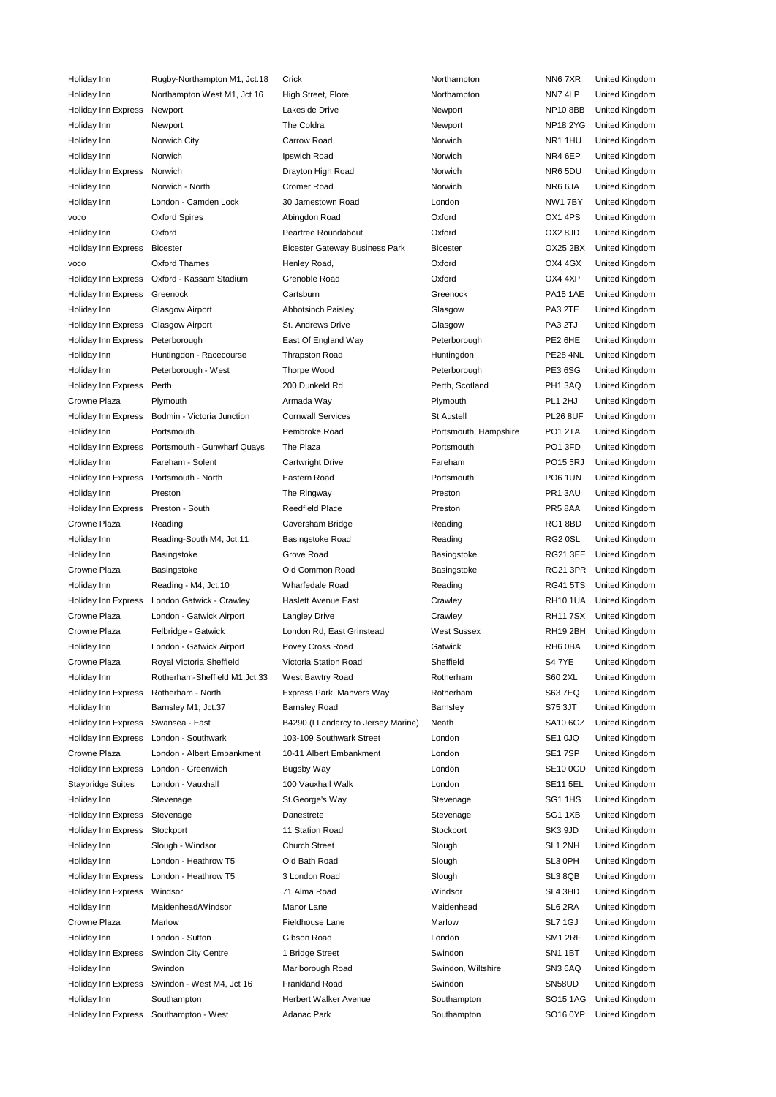Holiday Inn Budby-Northampton M1, Jct.18 Crick Northampton Northampton NN6 7XR United Kingdom Holiday Inn Morthampton West M1, Jct 16 High Street, Flore Northampton NN7 4LP United Kingdom Holiday Inn Express Newport Lakeside Drive Newport NP10 8BB United Kingdom Holiday Inn Newport The Coldra Newport NP18 2YG United Kingdom Holiday Inn Norwich City Carrow Road Norwich NR1 1HU United Kingdom Holiday Inn Morwich **Institute Industrial Industrial Industrial Accord Norwich** Norwich NR4 6EP United Kingdom Holiday Inn Express Norwich Drayton High Road Norwich NR6 5DU United Kingdom Holiday Inn Norwich - North Cromer Road Norwich NR6 6JA United Kingdom Holiday Inn London - Camden Lock 30 Jamestown Road London NW1 7BY United Kingdom voco Oxford Spires Abingdon Road Oxford OX1 4PS United Kingdom Holiday Inn Oxford Peartree Roundabout Oxford OX2 8JD United Kingdom Holiday Inn Express Bicester Bicester Gateway Business Park Bicester OX25 2BX United Kingdom voco Oxford Thames Henley Road, Oxford OX4 4GX United Kingdom Holiday Inn Express Oxford - Kassam Stadium Grenoble Road Oxford OX4 4XP United Kingdom Holiday Inn Express Greenock Cartsburn Greenock PA15 1AE United Kingdom Holiday Inn Glasgow Airport Abbotsinch Paisley Glasgow PA3 2TE United Kingdom Holiday Inn Express Glasgow Airport St. Andrews Drive Glasgow PA3 2TJ United Kingdom Holiday Inn Express Peterborough East Of England Way Peterborough PE2 6HE United Kingdom Holiday Inn Huntingdon - Racecourse Thrapston Road Huntingdon Huntingdon PE28 4NL United Kingdom Holiday Inn Peterborough - West Thorpe Wood Peterborough PE3 6SG United Kingdom Holiday Inn Express Perth 200 Dunkeld Rd Perth, Scotland PH1 3AQ United Kingdom Crowne Plaza Plymouth Armada Way Plymouth PL1 2HJ United Kingdom Holiday Inn Express Bodmin - Victoria Junction Cornwall Services St Austell St Austell PL26 8UF United Kingdom Holiday Inn Portsmouth Pembroke Road Portsmouth, Hampshire PO1 2TA United Kingdom Holiday Inn Express Portsmouth - Gunwharf Quays The Plaza Portsmouth PO1 3FD United Kingdom Holiday Inn Fareham - Solent Cartwright Drive Fareham PO15 5RJ United Kingdom Holiday Inn Express Portsmouth - North Eastern Road Portsmouth PO6 1UN United Kingdom Holiday Inn Preston **Preston** The Ringway **Preston Preston PR1 3AU** United Kingdom Holiday Inn Express Preston - South Reedfield Place Preston PR5 8AA United Kingdom Crowne Plaza Reading Caversham Bridge Reading Reading RG1 8BD United Kingdom Holiday Inn Reading-South M4, Jct.11 Basingstoke Road Reading RG2 0SL United Kingdom Holiday Inn Basingstoke Grove Road Basingstoke RG21 3EE United Kingdom Crowne Plaza Basingstoke **Old Common Road** Basingstoke RG21 3PR United Kingdom Holiday Inn Reading - M4, Jct.10 Wharfedale Road Reading Reading RG41 5TS United Kingdom Holiday Inn Express London Gatwick - Crawley Haslett Avenue East Crawley Crawley Crawley RH10 1UA United Kingdom Crowne Plaza London - Gatwick Airport Langley Drive Crawley Crawley Crawley RH11 7SX United Kingdom Crowne Plaza Felbridge - Gatwick London Rd, East Grinstead West Sussex RH19 2BH United Kingdom Holiday Inn London - Gatwick Airport Povey Cross Road Catwick Gatwick Catwick RH6 0BA United Kingdom Crowne Plaza Royal Victoria Sheffield Victoria Station Road Sheffield S4 7YE United Kingdom Holiday Inn Rotherham-Sheffield M1,Jct.33 West Bawtry Road Rotherham S60 2XL United Kingdom Holiday Inn Express Rotherham - North Express Park, Manvers Way Rotherham S63 7EQ United Kingdom Holiday Inn Barnsley M1, Jct.37 Barnsley Road Barnsley S75 3JT United Kingdom Holiday Inn Express Swansea - East B4290 (LLandarcy to Jersey Marine) Neath SA10 6GZ United Kingdom Holiday Inn Express London - Southwark 103-109 Southwark Street London SE1 0JQ United Kingdom Crowne Plaza London - Albert Embankment 10-11 Albert Embankment London SE1 7SP United Kingdom Holiday Inn Express London - Greenwich Bugsby Way London SE10 0GD United Kingdom Staybridge Suites London - Vauxhall 100 Vauxhall Walk London SE11 5EL United Kingdom Holiday Inn Stevenage St.George's Way Stevenage Stevenage SG1 1HS United Kingdom Holiday Inn Express Stevenage **Superint Constant Constant Constant Constant Constant Constant Constant Constant** Constant Constant Constant Constant Constant Constant Constant Constant Constant Constant Constant Constant C Holiday Inn Express Stockport 11 Station Road Stockport SK3 9JD United Kingdom Holiday Inn Slough - Windsor Church Street Slough SL1 2NH United Kingdom Holiday Inn London - Heathrow T5 Old Bath Road Slough SL3 0PH United Kingdom Holiday Inn Express London - Heathrow T5 3 London Road Slough SL3 8QB United Kingdom Holiday Inn Express Windsor 71 Alma Road Windsor SL4 3HD United Kingdom Holiday Inn Maidenhead/Windsor Manor Lane Maidenhead SL6 2RA United Kingdom Crowne Plaza Marlow Fieldhouse Lane Marlow SL7 1GJ United Kingdom Holiday Inn London - Sutton Gibson Road London SM1 2RF United Kingdom Holiday Inn Express Swindon City Centre 1 Bridge Street Swindon Swindon SN1 1BT United Kingdom Holiday Inn Swindon Marlborough Road Swindon, Wiltshire SN3 6AQ United Kingdom Holiday Inn Express Swindon - West M4, Jct 16 Frankland Road Swindon Swindon SN58UD United Kingdom Holiday Inn Southampton Herbert Walker Avenue Southampton SO15 1AG United Kingdom Holiday Inn Express Southampton - West Adanac Park Southampton SO16 0YP United Kingdom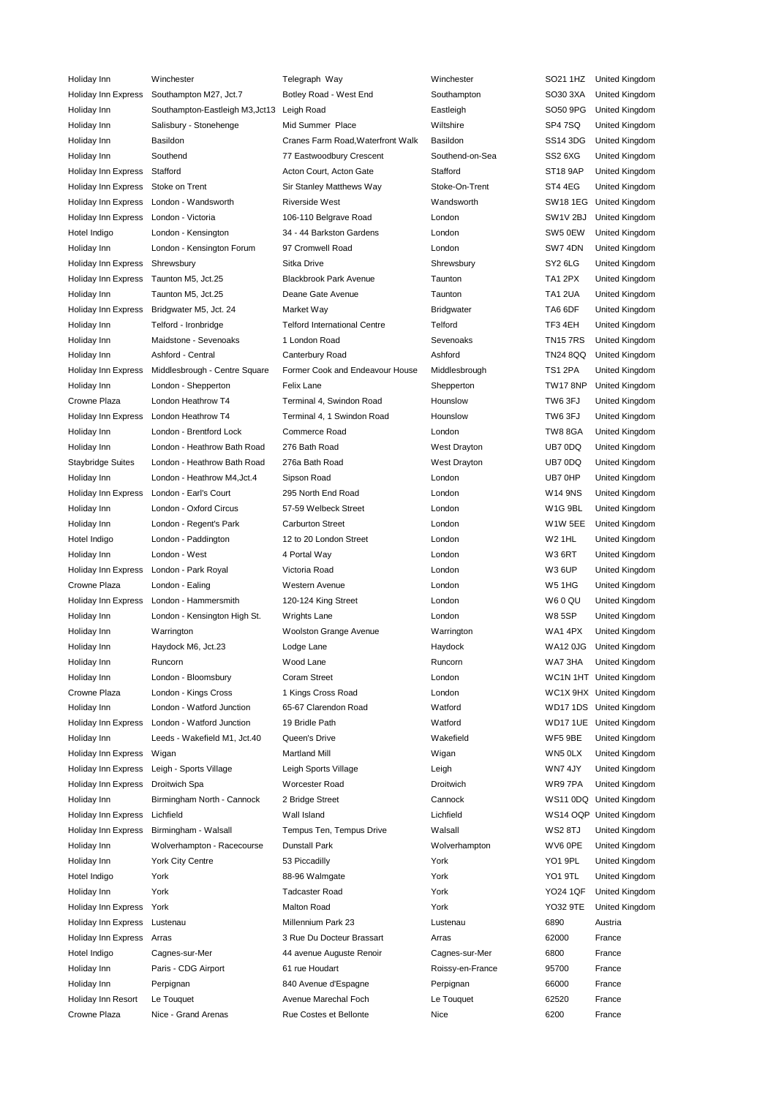| Holiday Inn              | Winchester                      | Telegraph Way                       | Winchester       | SO21 1HZ            | United Kingdom          |
|--------------------------|---------------------------------|-------------------------------------|------------------|---------------------|-------------------------|
| Holiday Inn Express      | Southampton M27, Jct.7          | Botley Road - West End              | Southampton      | SO30 3XA            | United Kingdom          |
| Holiday Inn              | Southampton-Eastleigh M3, Jct13 | Leigh Road                          | Eastleigh        | SO50 9PG            | United Kingdom          |
| Holiday Inn              | Salisbury - Stonehenge          | Mid Summer Place                    | Wiltshire        | SP4 7SQ             | United Kingdom          |
| Holiday Inn              | Basildon                        | Cranes Farm Road, Waterfront Walk   | Basildon         | SS14 3DG            | United Kingdom          |
| Holiday Inn              | Southend                        | 77 Eastwoodbury Crescent            | Southend-on-Sea  | SS2 6XG             | United Kingdom          |
| Holiday Inn Express      | Stafford                        | Acton Court, Acton Gate             | Stafford         | <b>ST18 9AP</b>     | United Kingdom          |
| Holiday Inn Express      | Stoke on Trent                  | Sir Stanley Matthews Way            | Stoke-On-Trent   | ST4 4EG             | United Kingdom          |
| Holiday Inn Express      | London - Wandsworth             | <b>Riverside West</b>               | Wandsworth       | <b>SW181EG</b>      | United Kingdom          |
| Holiday Inn Express      | London - Victoria               | 106-110 Belgrave Road               | London           | SW1V <sub>2BJ</sub> | United Kingdom          |
| Hotel Indigo             | London - Kensington             | 34 - 44 Barkston Gardens            | London           | SW5 0EW             | United Kingdom          |
| Holiday Inn              | London - Kensington Forum       | 97 Cromwell Road                    | London           | SW7 4DN             | United Kingdom          |
| Holiday Inn Express      | Shrewsbury                      | Sitka Drive                         | Shrewsbury       | SY <sub>2</sub> 6LG | United Kingdom          |
| Holiday Inn Express      | Taunton M5, Jct.25              | <b>Blackbrook Park Avenue</b>       | Taunton          | TA1 2PX             | United Kingdom          |
| Holiday Inn              | Taunton M5, Jct.25              | Deane Gate Avenue                   | Taunton          | TA1 2UA             | United Kingdom          |
| Holiday Inn Express      | Bridgwater M5, Jct. 24          | Market Way                          | Bridgwater       | TA6 6DF             | United Kingdom          |
| Holiday Inn              | Telford - Ironbridge            | <b>Telford International Centre</b> | Telford          | TF3 4EH             | United Kingdom          |
| Holiday Inn              | Maidstone - Sevenoaks           | 1 London Road                       | Sevenoaks        | <b>TN157RS</b>      | United Kingdom          |
| Holiday Inn              | Ashford - Central               | Canterbury Road                     | Ashford          | <b>TN24 8QQ</b>     | United Kingdom          |
|                          | Middlesbrough - Centre Square   | Former Cook and Endeavour House     | Middlesbrough    | <b>TS1 2PA</b>      |                         |
| Holiday Inn Express      | London - Shepperton             |                                     |                  | <b>TW17 8NP</b>     | United Kingdom          |
| Holiday Inn              |                                 | Felix Lane                          | Shepperton       |                     | United Kingdom          |
| Crowne Plaza             | London Heathrow T4              | Terminal 4, Swindon Road            | Hounslow         | TW6 3FJ             | United Kingdom          |
| Holiday Inn Express      | London Heathrow T4              | Terminal 4, 1 Swindon Road          | Hounslow         | TW6 3FJ             | United Kingdom          |
| Holiday Inn              | London - Brentford Lock         | Commerce Road                       | London           | <b>TW8 8GA</b>      | United Kingdom          |
| Holiday Inn              | London - Heathrow Bath Road     | 276 Bath Road                       | West Drayton     | UB7 0DQ             | United Kingdom          |
| <b>Staybridge Suites</b> | London - Heathrow Bath Road     | 276a Bath Road                      | West Drayton     | UB7 0DQ             | United Kingdom          |
| Holiday Inn              | London - Heathrow M4, Jct.4     | Sipson Road                         | London           | UB7 0HP             | United Kingdom          |
| Holiday Inn Express      | London - Earl's Court           | 295 North End Road                  | London           | <b>W14 9NS</b>      | United Kingdom          |
| Holiday Inn              | London - Oxford Circus          | 57-59 Welbeck Street                | London           | W1G 9BL             | United Kingdom          |
| Holiday Inn              | London - Regent's Park          | <b>Carburton Street</b>             | London           | W1W 5EE             | United Kingdom          |
| Hotel Indigo             | London - Paddington             | 12 to 20 London Street              | London           | <b>W2 1HL</b>       | United Kingdom          |
| Holiday Inn              | London - West                   | 4 Portal Way                        | London           | W36RT               | United Kingdom          |
| Holiday Inn Express      | London - Park Royal             | Victoria Road                       | London           | <b>W36UP</b>        | United Kingdom          |
| Crowne Plaza             | London - Ealing                 | Western Avenue                      | London           | <b>W5 1HG</b>       | United Kingdom          |
| Holiday Inn Express      | London - Hammersmith            | 120-124 King Street                 | London           | W60 QU              | United Kingdom          |
| Holiday Inn              | London - Kensington High St.    | Wrights Lane                        | London           | <b>W85SP</b>        | United Kingdom          |
| Holiday Inn              | Warrington                      | <b>Woolston Grange Avenue</b>       | Warrington       | WA14PX              | United Kingdom          |
| Holiday Inn              | Haydock M6, Jct.23              | Lodge Lane                          | Haydock          |                     | WA12 0JG United Kingdom |
| Holiday Inn              | Runcorn                         | Wood Lane                           | Runcorn          | WA7 3HA             | United Kingdom          |
| Holiday Inn              | London - Bloomsbury             | Coram Street                        | London           |                     | WC1N 1HT United Kingdom |
| Crowne Plaza             | London - Kings Cross            | 1 Kings Cross Road                  | London           |                     | WC1X 9HX United Kingdom |
| Holiday Inn              | London - Watford Junction       | 65-67 Clarendon Road                | Watford          |                     | WD17 1DS United Kingdom |
| Holiday Inn Express      | London - Watford Junction       | 19 Bridle Path                      | Watford          |                     | WD17 1UE United Kingdom |
| Holiday Inn              | Leeds - Wakefield M1, Jct.40    | Queen's Drive                       | Wakefield        | WF5 9BE             | <b>United Kingdom</b>   |
| Holiday Inn Express      | Wigan                           | <b>Martland Mill</b>                | Wigan            | WN5 0LX             | United Kingdom          |
| Holiday Inn Express      | Leigh - Sports Village          | Leigh Sports Village                | Leigh            | WN7 4JY             | United Kingdom          |
| Holiday Inn Express      | Droitwich Spa                   | <b>Worcester Road</b>               | Droitwich        | WR97PA              | United Kingdom          |
| Holiday Inn              | Birmingham North - Cannock      | 2 Bridge Street                     | Cannock          |                     | WS11 0DQ United Kingdom |
| Holiday Inn Express      | Lichfield                       | Wall Island                         | Lichfield        |                     | WS14 OQP United Kingdom |
| Holiday Inn Express      | Birmingham - Walsall            | Tempus Ten, Tempus Drive            | Walsall          | WS2 8TJ             | United Kingdom          |
| Holiday Inn              | Wolverhampton - Racecourse      | <b>Dunstall Park</b>                | Wolverhampton    | WV6 0PE             | United Kingdom          |
| Holiday Inn              | <b>York City Centre</b>         | 53 Piccadilly                       | York             | YO1 9PL             | United Kingdom          |
| Hotel Indigo             | York                            | 88-96 Walmgate                      | York             | YO1 9TL             | United Kingdom          |
| Holiday Inn              | York                            | <b>Tadcaster Road</b>               | York             | <b>YO24 1QF</b>     | United Kingdom          |
| Holiday Inn Express      | York                            | <b>Malton Road</b>                  | York             | YO32 9TE            | United Kingdom          |
| Holiday Inn Express      | Lustenau                        | Millennium Park 23                  | Lustenau         | 6890                | Austria                 |
| Holiday Inn Express      | Arras                           | 3 Rue Du Docteur Brassart           | Arras            | 62000               | France                  |
| Hotel Indigo             | Cagnes-sur-Mer                  | 44 avenue Auguste Renoir            | Cagnes-sur-Mer   | 6800                | France                  |
| Holiday Inn              | Paris - CDG Airport             | 61 rue Houdart                      | Roissy-en-France | 95700               | France                  |
| Holiday Inn              | Perpignan                       | 840 Avenue d'Espagne                | Perpignan        | 66000               | France                  |
| Holiday Inn Resort       | Le Touquet                      | Avenue Marechal Foch                | Le Touquet       | 62520               | France                  |
| Crowne Plaza             | Nice - Grand Arenas             | Rue Costes et Bellonte              | Nice             | 6200                | France                  |
|                          |                                 |                                     |                  |                     |                         |